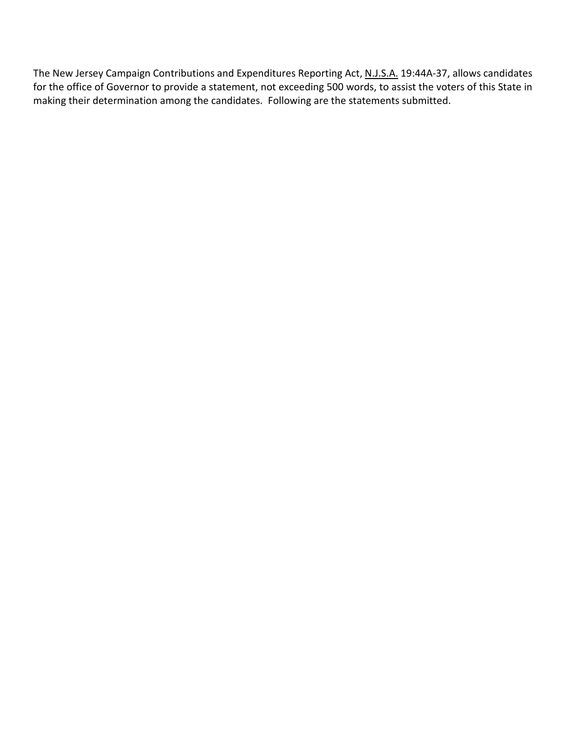The New Jersey Campaign Contributions and Expenditures Reporting Act, N.J.S.A. 19:44A-37, allows candidates for the office of Governor to provide a statement, not exceeding 500 words, to assist the voters of this State in making their determination among the candidates. Following are the statements submitted.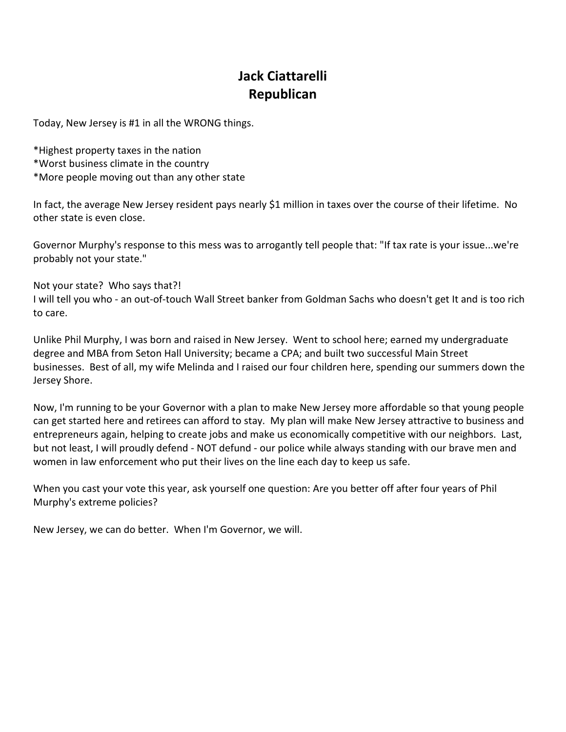# **Jack Ciattarelli Republican**

Today, New Jersey is #1 in all the WRONG things.

\*Highest property taxes in the nation \*Worst business climate in the country \*More people moving out than any other state

In fact, the average New Jersey resident pays nearly \$1 million in taxes over the course of their lifetime. No other state is even close.

Governor Murphy's response to this mess was to arrogantly tell people that: "If tax rate is your issue...we're probably not your state."

Not your state? Who says that?! I will tell you who - an out-of-touch Wall Street banker from Goldman Sachs who doesn't get It and is too rich to care.

Unlike Phil Murphy, I was born and raised in New Jersey. Went to school here; earned my undergraduate degree and MBA from Seton Hall University; became a CPA; and built two successful Main Street businesses. Best of all, my wife Melinda and I raised our four children here, spending our summers down the Jersey Shore.

Now, I'm running to be your Governor with a plan to make New Jersey more affordable so that young people can get started here and retirees can afford to stay. My plan will make New Jersey attractive to business and entrepreneurs again, helping to create jobs and make us economically competitive with our neighbors. Last, but not least, I will proudly defend - NOT defund - our police while always standing with our brave men and women in law enforcement who put their lives on the line each day to keep us safe.

When you cast your vote this year, ask yourself one question: Are you better off after four years of Phil Murphy's extreme policies?

New Jersey, we can do better. When I'm Governor, we will.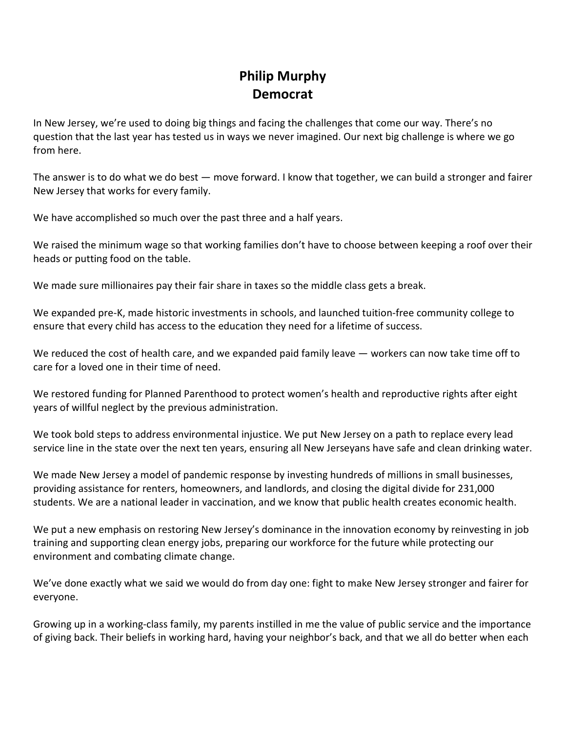## **Philip Murphy Democrat**

In New Jersey, we're used to doing big things and facing the challenges that come our way. There's no question that the last year has tested us in ways we never imagined. Our next big challenge is where we go from here.

The answer is to do what we do best — move forward. I know that together, we can build a stronger and fairer New Jersey that works for every family.

We have accomplished so much over the past three and a half years.

We raised the minimum wage so that working families don't have to choose between keeping a roof over their heads or putting food on the table.

We made sure millionaires pay their fair share in taxes so the middle class gets a break.

We expanded pre-K, made historic investments in schools, and launched tuition-free community college to ensure that every child has access to the education they need for a lifetime of success.

We reduced the cost of health care, and we expanded paid family leave — workers can now take time off to care for a loved one in their time of need.

We restored funding for Planned Parenthood to protect women's health and reproductive rights after eight years of willful neglect by the previous administration.

We took bold steps to address environmental injustice. We put New Jersey on a path to replace every lead service line in the state over the next ten years, ensuring all New Jerseyans have safe and clean drinking water.

We made New Jersey a model of pandemic response by investing hundreds of millions in small businesses, providing assistance for renters, homeowners, and landlords, and closing the digital divide for 231,000 students. We are a national leader in vaccination, and we know that public health creates economic health.

We put a new emphasis on restoring New Jersey's dominance in the innovation economy by reinvesting in job training and supporting clean energy jobs, preparing our workforce for the future while protecting our environment and combating climate change.

We've done exactly what we said we would do from day one: fight to make New Jersey stronger and fairer for everyone.

Growing up in a working-class family, my parents instilled in me the value of public service and the importance of giving back. Their beliefs in working hard, having your neighbor's back, and that we all do better when each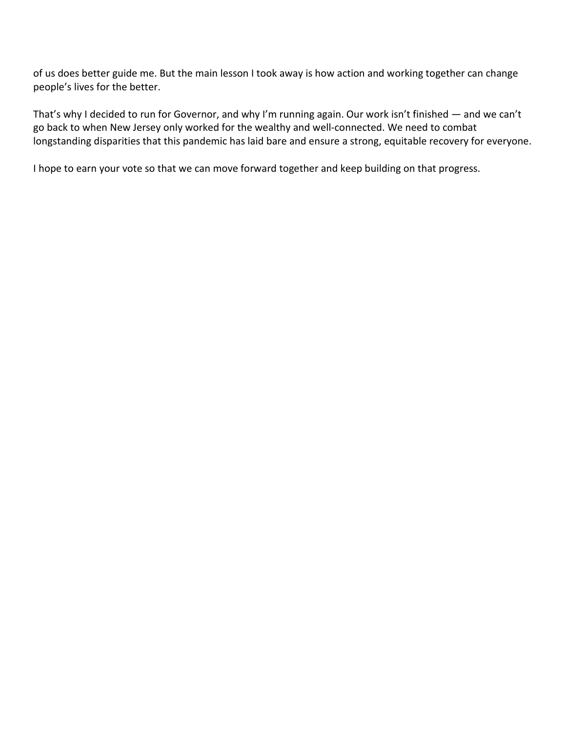of us does better guide me. But the main lesson I took away is how action and working together can change people's lives for the better.

That's why I decided to run for Governor, and why I'm running again. Our work isn't finished — and we can't go back to when New Jersey only worked for the wealthy and well-connected. We need to combat longstanding disparities that this pandemic has laid bare and ensure a strong, equitable recovery for everyone.

I hope to earn your vote so that we can move forward together and keep building on that progress.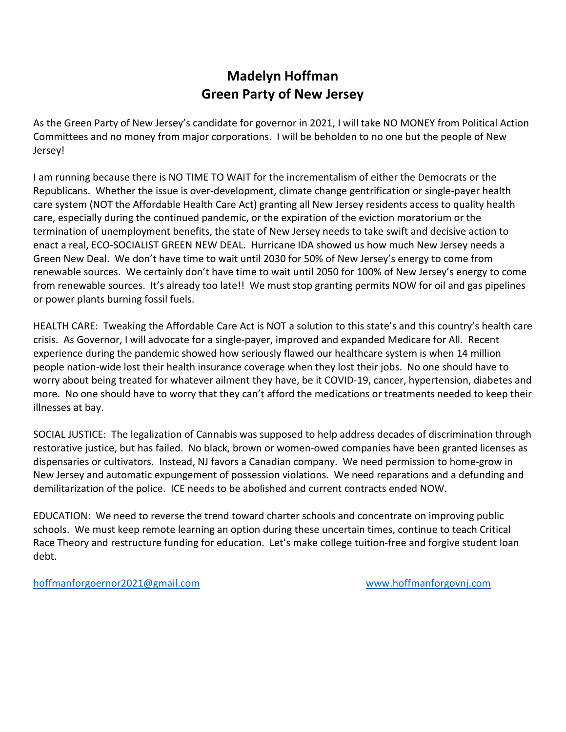## **Madelyn Hoffman Green Party of New Jersey**

As the Green Party of New Jersey's candidate for governor in 2021, I will take NO MONEY from Political Action Committees and no money from major corporations. I will be beholden to no one but the people of New Jersey!

I am running because there is NO TIME TO WAIT for the incrementalism of either the Democrats or the Republicans. Whether the issue is over-development, climate change gentrification or single-payer health care system (NOT the Affordable Health Care Act) granting all New Jersey residents access to quality health care, especially during the continued pandemic, or the expiration of the eviction moratorium or the termination of unemployment benefits, the state of New Jersey needs to take swift and decisive action to enact a real, ECO-SOCIALIST GREEN NEW DEAL. Hurricane IDA showed us how much New Jersey needs a Green New Deal. We don't have time to wait until 2030 for 50% of New Jersey's energy to come from renewable sources. We certainly don't have time to wait until 2050 for 100% of New Jersey's energy to come from renewable sources. It's already too late!! We must stop granting permits NOW for oil and gas pipelines or power plants burning fossil fuels.

HEALTH CARE: Tweaking the Affordable Care Act is NOT a solution to this state's and this country's health care crisis. As Governor, I will advocate for a single-payer, improved and expanded Medicare for All. Recent experience during the pandemic showed how seriously flawed our healthcare system is when 14 million people nation-wide lost their health insurance coverage when they lost their jobs. No one should have to worry about being treated for whatever ailment they have, be it COVID-19, cancer, hypertension, diabetes and more. No one should have to worry that they can't afford the medications or treatments needed to keep their illnesses at bay.

SOCIAL JUSTICE: The legalization of Cannabis was supposed to help address decades of discrimination through restorative justice, but has failed. No black, brown or women-owed companies have been granted licenses as dispensaries or cultivators. Instead, NJ favors a Canadian company. We need permission to home-grow in New Jersey and automatic expungement of possession violations. We need reparations and a defunding and demilitarization of the police. ICE needs to be abolished and current contracts ended NOW.

EDUCATION: We need to reverse the trend toward charter schools and concentrate on improving public schools. We must keep remote learning an option during these uncertain times, continue to teach Critical Race Theory and restructure funding for education. Let's make college tuition-free and forgive student loan debt.

[hoffmanforgoernor2021@gmail.com](mailto:hoffmanforgoernor2021@gmail.com) [www.hoffmanforgovnj.com](http://www.hoffmanforgovnj.com/)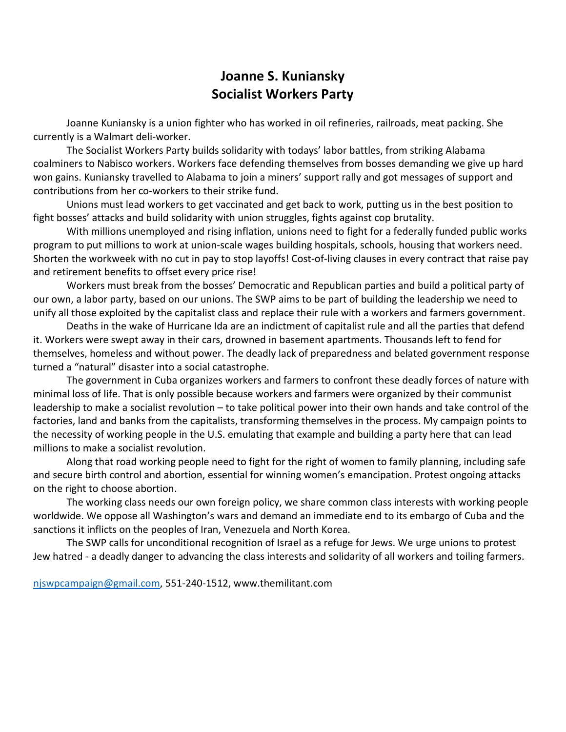#### **Joanne S. Kuniansky Socialist Workers Party**

Joanne Kuniansky is a union fighter who has worked in oil refineries, railroads, meat packing. She currently is a Walmart deli-worker.

The Socialist Workers Party builds solidarity with todays' labor battles, from striking Alabama coalminers to Nabisco workers. Workers face defending themselves from bosses demanding we give up hard won gains. Kuniansky travelled to Alabama to join a miners' support rally and got messages of support and contributions from her co-workers to their strike fund.

Unions must lead workers to get vaccinated and get back to work, putting us in the best position to fight bosses' attacks and build solidarity with union struggles, fights against cop brutality.

With millions unemployed and rising inflation, unions need to fight for a federally funded public works program to put millions to work at union-scale wages building hospitals, schools, housing that workers need. Shorten the workweek with no cut in pay to stop layoffs! Cost-of-living clauses in every contract that raise pay and retirement benefits to offset every price rise!

Workers must break from the bosses' Democratic and Republican parties and build a political party of our own, a labor party, based on our unions. The SWP aims to be part of building the leadership we need to unify all those exploited by the capitalist class and replace their rule with a workers and farmers government.

Deaths in the wake of Hurricane Ida are an indictment of capitalist rule and all the parties that defend it. Workers were swept away in their cars, drowned in basement apartments. Thousands left to fend for themselves, homeless and without power. The deadly lack of preparedness and belated government response turned a "natural" disaster into a social catastrophe.

The government in Cuba organizes workers and farmers to confront these deadly forces of nature with minimal loss of life. That is only possible because workers and farmers were organized by their communist leadership to make a socialist revolution – to take political power into their own hands and take control of the factories, land and banks from the capitalists, transforming themselves in the process. My campaign points to the necessity of working people in the U.S. emulating that example and building a party here that can lead millions to make a socialist revolution.

Along that road working people need to fight for the right of women to family planning, including safe and secure birth control and abortion, essential for winning women's emancipation. Protest ongoing attacks on the right to choose abortion.

The working class needs our own foreign policy, we share common class interests with working people worldwide. We oppose all Washington's wars and demand an immediate end to its embargo of Cuba and the sanctions it inflicts on the peoples of Iran, Venezuela and North Korea.

The SWP calls for unconditional recognition of Israel as a refuge for Jews. We urge unions to protest Jew hatred - a deadly danger to advancing the class interests and solidarity of all workers and toiling farmers.

[njswpcampaign@gmail.com,](mailto:njswpcampaign@gmail.com) 551-240-1512, www.themilitant.com